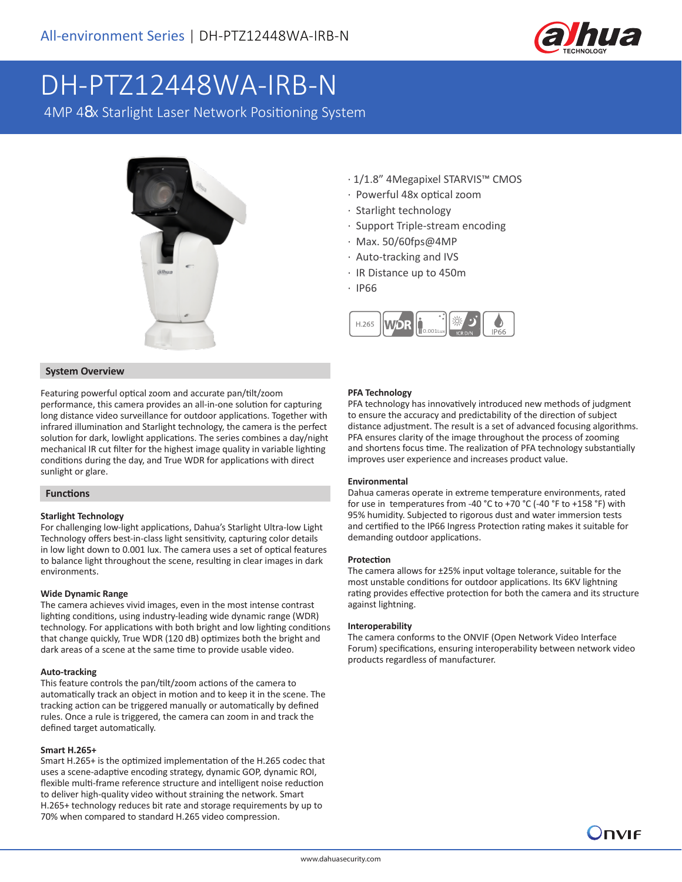

# DH-PTZ12448WA-IRB-N

4MP 48x Starlight Laser Network Positioning System



- · 1/1.8" 4Megapixel STARVIS™ CMOS
- · Powerful 48x optical zoom
- · Starlight technology
- · Support Triple-stream encoding
- · Max. 50/60fps@4MP
- · Auto-tracking and IVS
- · IR Distance up to 450m
- · IP66



# **System Overview**

Featuring powerful optical zoom and accurate pan/tilt/zoom performance, this camera provides an all-in-one solution for capturing long distance video surveillance for outdoor applications. Together with infrared illumination and Starlight technology, the camera is the perfect solution for dark, lowlight applications. The series combines a day/night mechanical IR cut filter for the highest image quality in variable lighting conditions during the day, and True WDR for applications with direct sunlight or glare.

# **Functions**

#### **Starlight Technology**

For challenging low-light applications, Dahua's Starlight Ultra-low Light Technology offers best-in-class light sensitivity, capturing color details in low light down to 0.001 lux. The camera uses a set of optical features to balance light throughout the scene, resulting in clear images in dark environments.

### **Wide Dynamic Range**

The camera achieves vivid images, even in the most intense contrast lighting conditions, using industry-leading wide dynamic range (WDR) technology. For applications with both bright and low lighting conditions that change quickly, True WDR (120 dB) optimizes both the bright and dark areas of a scene at the same time to provide usable video.

#### **Auto-tracking**

This feature controls the pan/tilt/zoom actions of the camera to automatically track an object in motion and to keep it in the scene. The tracking action can be triggered manually or automatically by defined rules. Once a rule is triggered, the camera can zoom in and track the defined target automatically.

#### **Smart H.265+**

Smart H.265+ is the optimized implementation of the H.265 codec that uses a scene-adaptive encoding strategy, dynamic GOP, dynamic ROI, flexible multi-frame reference structure and intelligent noise reduction to deliver high-quality video without straining the network. Smart H.265+ technology reduces bit rate and storage requirements by up to 70% when compared to standard H.265 video compression.

## **PFA Technology**

PFA technology has innovatively introduced new methods of judgment to ensure the accuracy and predictability of the direction of subject distance adjustment. The result is a set of advanced focusing algorithms. PFA ensures clarity of the image throughout the process of zooming and shortens focus time. The realization of PFA technology substantially improves user experience and increases product value.

# **Environmental**

Dahua cameras operate in extreme temperature environments, rated for use in temperatures from -40 °C to +70 °C (-40 °F to +158 °F) with 95% humidity. Subjected to rigorous dust and water immersion tests and certified to the IP66 Ingress Protection rating makes it suitable for demanding outdoor applications.

#### **Protection**

The camera allows for ±25% input voltage tolerance, suitable for the most unstable conditions for outdoor applications. Its 6KV lightning rating provides effective protection for both the camera and its structure against lightning.

#### **Interoperability**

The camera conforms to the ONVIF (Open Network Video Interface Forum) specifications, ensuring interoperability between network video products regardless of manufacturer.

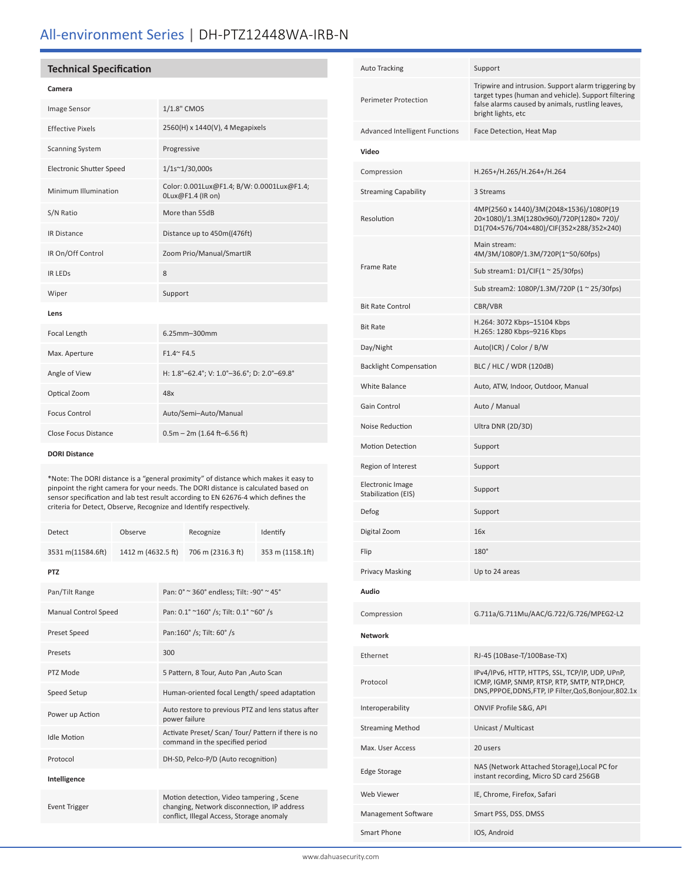# All-environment Series | DH-PTZ12448WA-IRB-N

# **Technical Specification**

## **Camera**

| 1/1.8" CMOS                                                     |
|-----------------------------------------------------------------|
| 2560(H) x 1440(V), 4 Megapixels                                 |
| Progressive                                                     |
| $1/1s^{\sim}1/30,000s$                                          |
| Color: 0.001Lux@F1.4; B/W: 0.0001Lux@F1.4;<br>0Lux@F1.4 (IR on) |
| More than 55dB                                                  |
| Distance up to 450m((476ft)                                     |
| Zoom Prio/Manual/SmartIR                                        |
| 8                                                               |
| Support                                                         |
|                                                                 |
| 6.25mm-300mm                                                    |
| $F1.4^{\sim} F4.5$                                              |
| H: 1.8°-62.4°; V: 1.0°-36.6°; D: 2.0°-69.8°                     |
| 48x                                                             |
| Auto/Semi-Auto/Manual                                           |
| $0.5m - 2m (1.64 ft - 6.56 ft)$                                 |
|                                                                 |

#### **DORI Distance**

\*Note: The DORI distance is a "general proximity" of distance which makes it easy to pinpoint the right camera for your needs. The DORI distance is calculated based on sensor specification and lab test result according to EN 62676-4 which defines the criteria for Detect, Observe, Recognize and Identify respectively.

| <b>Detect</b>     | Observe            | Recognize         | Identify         |
|-------------------|--------------------|-------------------|------------------|
| 3531 m(11584.6ft) | 1412 m (4632.5 ft) | 706 m (2316.3 ft) | 353 m (1158.1ft) |
| <b>PTZ</b>        |                    |                   |                  |

| Pan/Tilt Range              | Pan: 0° ~ 360° endless; Tilt: -90° ~ 45°                                                                                             |
|-----------------------------|--------------------------------------------------------------------------------------------------------------------------------------|
| <b>Manual Control Speed</b> | Pan: 0.1° ~160° /s; Tilt: 0.1° ~60° /s                                                                                               |
| Preset Speed                | Pan:160° /s; Tilt: 60° /s                                                                                                            |
| Presets                     | 300                                                                                                                                  |
| PTZ Mode                    | 5 Pattern, 8 Tour, Auto Pan , Auto Scan                                                                                              |
| Speed Setup                 | Human-oriented focal Length/ speed adaptation                                                                                        |
| Power up Action             | Auto restore to previous PTZ and lens status after<br>power failure                                                                  |
| <b>Idle Motion</b>          | Activate Preset/ Scan/ Tour/ Pattern if there is no<br>command in the specified period                                               |
| Protocol                    | DH-SD, Pelco-P/D (Auto recognition)                                                                                                  |
| Intelligence                |                                                                                                                                      |
| <b>Event Trigger</b>        | Motion detection, Video tampering, Scene<br>changing, Network disconnection, IP address<br>conflict, Illegal Access, Storage anomaly |
|                             |                                                                                                                                      |

| <b>Auto Tracking</b>                           | Support                                                                                                                                                                              |
|------------------------------------------------|--------------------------------------------------------------------------------------------------------------------------------------------------------------------------------------|
| <b>Perimeter Protection</b>                    | Tripwire and intrusion. Support alarm triggering by<br>target types (human and vehicle). Support filtering<br>false alarms caused by animals, rustling leaves,<br>bright lights, etc |
| <b>Advanced Intelligent Functions</b>          | Face Detection, Heat Map                                                                                                                                                             |
| Video                                          |                                                                                                                                                                                      |
| Compression                                    | H.265+/H.265/H.264+/H.264                                                                                                                                                            |
| <b>Streaming Capability</b>                    | 3 Streams                                                                                                                                                                            |
| Resolution                                     | 4MP(2560 x 1440)/3M(2048×1536)/1080P(19<br>20×1080)/1.3M(1280x960)/720P(1280×720)/<br>D1(704×576/704×480)/CIF(352×288/352×240)                                                       |
|                                                | Main stream:<br>4M/3M/1080P/1.3M/720P(1~50/60fps)                                                                                                                                    |
| <b>Frame Rate</b>                              | Sub stream1: $D1/CIF(1 ~ 25/30fps)$                                                                                                                                                  |
|                                                | Sub stream2: 1080P/1.3M/720P (1 ~ 25/30fps)                                                                                                                                          |
| <b>Bit Rate Control</b>                        | CBR/VBR                                                                                                                                                                              |
| <b>Bit Rate</b>                                | H.264: 3072 Kbps-15104 Kbps<br>H.265: 1280 Kbps-9216 Kbps                                                                                                                            |
| Day/Night                                      | Auto(ICR) / Color / B/W                                                                                                                                                              |
| <b>Backlight Compensation</b>                  | BLC / HLC / WDR (120dB)                                                                                                                                                              |
| <b>White Balance</b>                           | Auto, ATW, Indoor, Outdoor, Manual                                                                                                                                                   |
| Gain Control                                   | Auto / Manual                                                                                                                                                                        |
| Noise Reduction                                | Ultra DNR (2D/3D)                                                                                                                                                                    |
| <b>Motion Detection</b>                        | Support                                                                                                                                                                              |
| Region of Interest                             | Support                                                                                                                                                                              |
| <b>Electronic Image</b><br>Stabilization (EIS) | Support                                                                                                                                                                              |
| Defog                                          | Support                                                                                                                                                                              |
| Digital Zoom                                   | 16x                                                                                                                                                                                  |
| Flip                                           | $180^\circ$                                                                                                                                                                          |
| <b>Privacy Masking</b>                         | Up to 24 areas                                                                                                                                                                       |
| Audio                                          |                                                                                                                                                                                      |
| Compression                                    | G.711a/G.711Mu/AAC/G.722/G.726/MPEG2-L2                                                                                                                                              |
| <b>Network</b>                                 |                                                                                                                                                                                      |
| Ethernet                                       | RJ-45 (10Base-T/100Base-TX)                                                                                                                                                          |
| Protocol                                       | IPv4/IPv6, HTTP, HTTPS, SSL, TCP/IP, UDP, UPnP,<br>ICMP, IGMP, SNMP, RTSP, RTP, SMTP, NTP, DHCP,<br>DNS, PPPOE, DDNS, FTP, IP Filter, QoS, Bonjour, 802.1x                           |
| Interoperability                               | ONVIF Profile S&G, API                                                                                                                                                               |
| <b>Streaming Method</b>                        | Unicast / Multicast                                                                                                                                                                  |
| Max. User Access                               | 20 users                                                                                                                                                                             |
| <b>Edge Storage</b>                            | NAS (Network Attached Storage), Local PC for<br>instant recording, Micro SD card 256GB                                                                                               |
| Web Viewer                                     | IE, Chrome, Firefox, Safari                                                                                                                                                          |
| Management Software                            | Smart PSS, DSS, DMSS                                                                                                                                                                 |
| Smart Phone                                    | IOS, Android                                                                                                                                                                         |